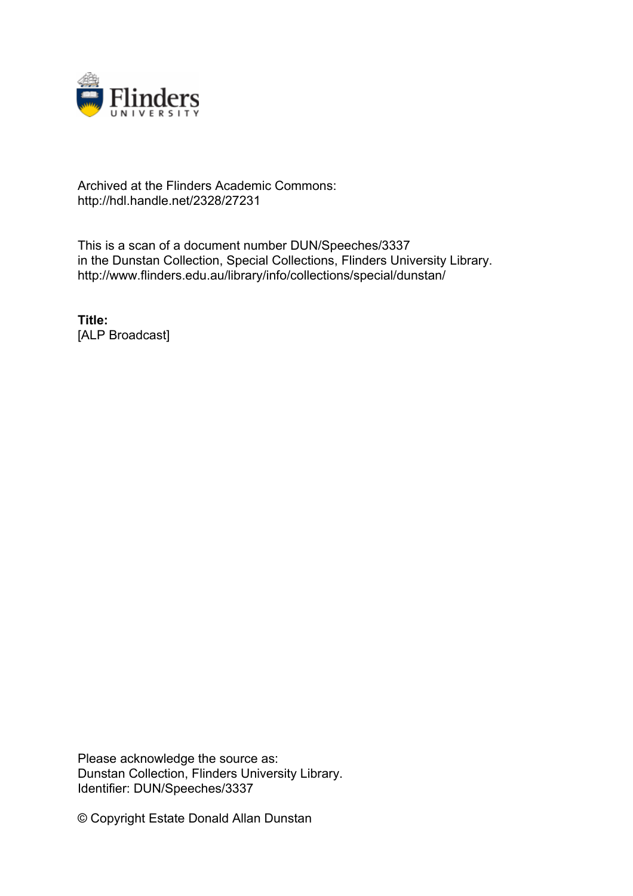

## Archived at the Flinders Academic Commons: http://hdl.handle.net/2328/27231

This is a scan of a document number DUN/Speeches/3337 in the Dunstan Collection, Special Collections, Flinders University Library. http://www.flinders.edu.au/library/info/collections/special/dunstan/

**Title:** [ALP Broadcast]

Please acknowledge the source as: Dunstan Collection, Flinders University Library. Identifier: DUN/Speeches/3337

© Copyright Estate Donald Allan Dunstan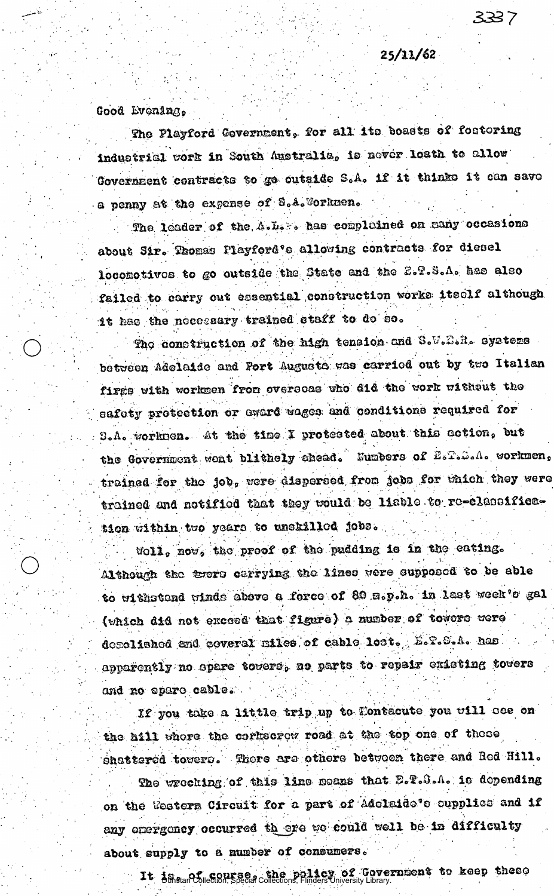$25/11/62$ 

3337

Good Evening,

The Playford Covernment, for all its boasts of fostering industrial work in South Australia, is never loath to allow Government contracts to go outside S.A. if it thinks it can save a penny at the expense of S.A. Sorkmen.

The leader of the A.L. has compleined on many occasions about Sir. Thomas Playford's allowing contracts for diesel locomotivos to go outside the State and the E.P.S.A. has also failed to carry out essential construction works itself although it has the necessary trained staff to do so.

The construction of the high tension and S.W.S.R. systems between Adelaide and Port Augusta was carried out by two Italian firms with workmen from oversons who did the work without the safety protection or award wages and conditions required for S.A. worknen. At the time I protested about this action, but the Government went blithely chead. Numbers of E.T. ... workmen, trained for the job, were dispersed from jobs for which they were trained and notified that they would be liable to re-classification within two years to unskilled jobs.

Woll, now, the proof of the pudding is in the eating. Although the trers carrying the lines were supposed to be able to withstand winds above a force of 89 s.p.h. in last week's gal (which did not exceed that figure) a number of towers were depolished and coveral miles of cable lost. E.T.S.A. has apparently no opare towers, no parts to repair existing towers and no spare cable.

If you take a little trip up to Montacute you will see on the hill where the corkscrew road at the top one of these shattered towers. There are othere between there and Red Hill.

The wreching of this line means that D.T. S.A. is depending on the Western Circuit for a part of Adelaide's cupplies and if any energoncy occurred th ere we could well be in difficulty about supply to a number of consumers.

It is of course, the policy of Government to keep these